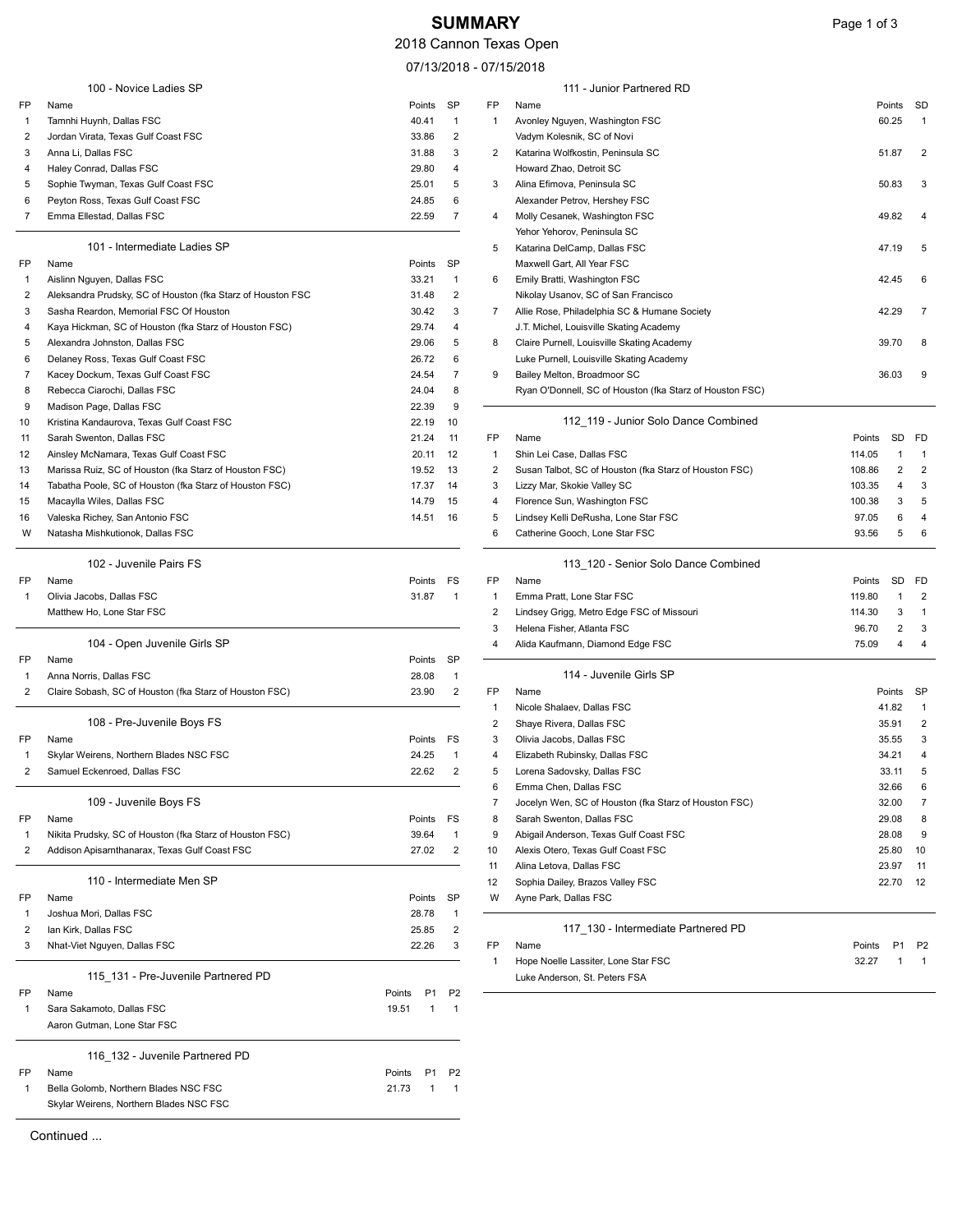## **SUMMARY** Page 1 of 3

111 - Junior Partnered RD

07/13/2018 - 07/15/2018

|                | 100 - Novice Ladies SP                                      |                          |                |                | 111 - Junior Partnered RD                                |        |        |                |
|----------------|-------------------------------------------------------------|--------------------------|----------------|----------------|----------------------------------------------------------|--------|--------|----------------|
| FP             | Name                                                        | Points                   | SP             | FP             | Name                                                     |        | Points | SD             |
| -1             | Tamnhi Huynh, Dallas FSC                                    | 40.41                    | $\mathbf{1}$   | $\mathbf{1}$   | Avonley Nguyen, Washington FSC                           |        | 60.25  |                |
| 2              | Jordan Virata, Texas Gulf Coast FSC                         | 33.86                    | $\overline{2}$ |                | Vadym Kolesnik, SC of Novi                               |        |        |                |
| 3              | Anna Li, Dallas FSC                                         | 31.88                    | 3              | 2              | Katarina Wolfkostin, Peninsula SC                        |        | 51.87  | 2              |
| 4              | Haley Conrad, Dallas FSC                                    | 29.80                    | 4              |                | Howard Zhao, Detroit SC                                  |        |        |                |
| 5              | Sophie Twyman, Texas Gulf Coast FSC                         | 25.01                    | 5              | 3              | Alina Efimova, Peninsula SC                              |        | 50.83  | 3              |
| 6              | Peyton Ross, Texas Gulf Coast FSC                           | 24.85                    | 6              |                | Alexander Petrov, Hershey FSC                            |        |        |                |
| 7              | Emma Ellestad, Dallas FSC                                   | 22.59                    | $\overline{7}$ | 4              | Molly Cesanek, Washington FSC                            |        | 49.82  |                |
|                |                                                             |                          |                |                | Yehor Yehorov, Peninsula SC                              |        |        |                |
|                | 101 - Intermediate Ladies SP                                |                          |                | 5              | Katarina DelCamp, Dallas FSC                             |        | 47.19  | 5              |
| FP             | Name                                                        | Points                   | SP             |                | Maxwell Gart, All Year FSC                               |        |        |                |
| -1             | Aislinn Nguyen, Dallas FSC                                  | 33.21                    | $\overline{1}$ | 6              | Emily Bratti, Washington FSC                             |        | 42.45  |                |
| 2              | Aleksandra Prudsky, SC of Houston (fka Starz of Houston FSC | 31.48                    | $\overline{2}$ |                | Nikolay Usanov, SC of San Francisco                      |        |        |                |
| 3              | Sasha Reardon, Memorial FSC Of Houston                      | 30.42                    | 3              | $\overline{7}$ | Allie Rose, Philadelphia SC & Humane Society             |        | 42.29  |                |
| 4              | Kaya Hickman, SC of Houston (fka Starz of Houston FSC)      | 29.74                    | $\overline{4}$ |                | J.T. Michel, Louisville Skating Academy                  |        |        |                |
| 5              | Alexandra Johnston, Dallas FSC                              | 29.06                    | 5              | 8              | Claire Purnell, Louisville Skating Academy               |        | 39.70  |                |
| 6              | Delaney Ross, Texas Gulf Coast FSC                          | 26.72                    | 6              |                | Luke Purnell, Louisville Skating Academy                 |        |        |                |
| 7              | Kacey Dockum, Texas Gulf Coast FSC                          | 24.54                    | $\overline{7}$ | 9              | Bailey Melton, Broadmoor SC                              |        | 36.03  |                |
| 8              | Rebecca Ciarochi, Dallas FSC                                | 24.04                    | 8              |                | Ryan O'Donnell, SC of Houston (fka Starz of Houston FSC) |        |        |                |
| 9              | Madison Page, Dallas FSC                                    | 22.39                    | 9              |                |                                                          |        |        |                |
| 10             | Kristina Kandaurova, Texas Gulf Coast FSC                   | 22.19                    | 10             |                | 112_119 - Junior Solo Dance Combined                     |        |        |                |
| 11             | Sarah Swenton, Dallas FSC                                   | 21.24                    | 11             | FP             | Name                                                     | Points | SD     | FD             |
| 12             | Ainsley McNamara, Texas Gulf Coast FSC                      | 20.11                    | 12             | 1              | Shin Lei Case, Dallas FSC                                | 114.05 | 1      | 1              |
| 13             | Marissa Ruiz, SC of Houston (fka Starz of Houston FSC)      | 19.52                    | 13             | 2              | Susan Talbot, SC of Houston (fka Starz of Houston FSC)   | 108.86 | 2      | $\overline{2}$ |
| 14             | Tabatha Poole, SC of Houston (fka Starz of Houston FSC)     | 17.37                    | 14             | 3              | Lizzy Mar, Skokie Valley SC                              | 103.35 | 4      | 3              |
| 15             | Macaylla Wiles, Dallas FSC                                  | 14.79                    | 15             | 4              | Florence Sun, Washington FSC                             | 100.38 | 3      | 5              |
| 16             | Valeska Richey, San Antonio FSC                             | 14.51                    | 16             | 5              | Lindsey Kelli DeRusha, Lone Star FSC                     | 97.05  | 6      | 4              |
| W              | Natasha Mishkutionok, Dallas FSC                            |                          |                | 6              | Catherine Gooch, Lone Star FSC                           | 93.56  | 5      | 6              |
|                | 102 - Juvenile Pairs FS                                     |                          |                |                | 113_120 - Senior Solo Dance Combined                     |        |        |                |
| FP             | Name                                                        | Points FS                |                | FP             | Name                                                     | Points |        | SD FD          |
| $\mathbf{1}$   | Olivia Jacobs, Dallas FSC                                   | 31.87                    | $\overline{1}$ | $\mathbf{1}$   | Emma Pratt, Lone Star FSC                                | 119.80 | 1      | 2              |
|                | Matthew Ho, Lone Star FSC                                   |                          |                | 2              | Lindsey Grigg, Metro Edge FSC of Missouri                | 114.30 | 3      | $\mathbf{1}$   |
|                |                                                             |                          |                | 3              | Helena Fisher, Atlanta FSC                               | 96.70  | 2      | 3              |
|                | 104 - Open Juvenile Girls SP                                |                          |                | 4              | Alida Kaufmann, Diamond Edge FSC                         | 75.09  | 4      | 4              |
| FP             | Name                                                        | Points                   | SP             |                |                                                          |        |        |                |
| -1             | Anna Norris, Dallas FSC                                     | 28.08                    | $\overline{1}$ |                | 114 - Juvenile Girls SP                                  |        |        |                |
| $\overline{2}$ | Claire Sobash, SC of Houston (fka Starz of Houston FSC)     | 23.90                    | $\overline{2}$ | FP             | Name                                                     |        | Points | <b>SP</b>      |
|                |                                                             |                          |                | $\mathbf{1}$   | Nicole Shalaev, Dallas FSC                               |        | 41.82  |                |
|                | 108 - Pre-Juvenile Boys FS                                  |                          |                | 2              | Shaye Rivera, Dallas FSC                                 |        | 35.91  | $\overline{2}$ |
| FP             | Name                                                        | Points                   | FS             | 3              | Olivia Jacobs, Dallas FSC                                |        | 35.55  | 3              |
| -1             | Skylar Weirens, Northern Blades NSC FSC                     | 24.25                    | $\overline{1}$ | 4              | Elizabeth Rubinsky, Dallas FSC                           |        | 34.21  | 4              |
| $\overline{2}$ | Samuel Eckenroed, Dallas FSC                                | 22.62                    | $\overline{2}$ | 5              | Lorena Sadovsky, Dallas FSC                              |        | 33.11  | 5              |
|                |                                                             |                          |                | 6              | Emma Chen, Dallas FSC                                    |        | 32.66  | 6              |
|                | 109 - Juvenile Boys FS                                      |                          |                | $\overline{7}$ | Jocelyn Wen, SC of Houston (fka Starz of Houston FSC)    |        | 32.00  | 7              |
| FP             | Name                                                        | Points                   | FS             | 8              | Sarah Swenton, Dallas FSC                                |        | 29.08  | 8              |
| -1             | Nikita Prudsky, SC of Houston (fka Starz of Houston FSC)    | 39.64                    | $\mathbf{1}$   | 9              | Abigail Anderson, Texas Gulf Coast FSC                   |        | 28.08  | 9              |
| $\overline{2}$ | Addison Apisarnthanarax, Texas Gulf Coast FSC               | 27.02                    | $\overline{2}$ | 10             | Alexis Otero, Texas Gulf Coast FSC                       |        | 25.80  | 10             |
|                |                                                             |                          |                | 11             | Alina Letova, Dallas FSC                                 |        | 23.97  | 11             |
|                | 110 - Intermediate Men SP                                   |                          |                | 12             | Sophia Dailey, Brazos Valley FSC                         |        | 22.70  | 12             |
| FP             | Name                                                        | Points                   | <b>SP</b>      | W              | Ayne Park, Dallas FSC                                    |        |        |                |
| -1             | Joshua Mori, Dallas FSC                                     | 28.78                    | $\overline{1}$ |                |                                                          |        |        |                |
| $\overline{2}$ | lan Kirk, Dallas FSC                                        | 25.85                    | $\overline{2}$ |                | 117_130 - Intermediate Partnered PD                      |        |        |                |
| 3              | Nhat-Viet Nguyen, Dallas FSC                                | 22.26                    | 3              | FP             | Name                                                     | Points | P1     | P <sub>2</sub> |
|                |                                                             |                          |                | -1             | Hope Noelle Lassiter, Lone Star FSC                      | 32.27  |        |                |
|                | 115 131 - Pre-Juvenile Partnered PD                         |                          |                |                | Luke Anderson, St. Peters FSA                            |        |        |                |
| FP             | Name                                                        | P <sub>1</sub><br>Points | P <sub>2</sub> |                |                                                          |        |        |                |
| $\mathbf{1}$   | Sara Sakamoto, Dallas FSC                                   | 19.51<br>1               | $\overline{1}$ |                |                                                          |        |        |                |
|                | Aaron Gutman, Lone Star FSC                                 |                          |                |                |                                                          |        |        |                |
|                | 116_132 - Juvenile Partnered PD                             |                          |                |                |                                                          |        |        |                |
| FP             | Name                                                        | P <sub>1</sub><br>Points | P <sub>2</sub> |                |                                                          |        |        |                |
| 1              | Bella Golomb, Northern Blades NSC FSC                       | 21.73<br>1               | $\overline{1}$ |                |                                                          |        |        |                |
|                | Skylar Weirens, Northern Blades NSC FSC                     |                          |                |                |                                                          |        |        |                |

Continued ...

|                                                     | Points          | SP                            | FP             | Name                                                     |        | Points         | SD             |
|-----------------------------------------------------|-----------------|-------------------------------|----------------|----------------------------------------------------------|--------|----------------|----------------|
| uynh, Dallas FSC                                    | 40.41           | 1                             | $\mathbf{1}$   | Avonley Nguyen, Washington FSC                           |        | 60.25          | $\mathbf{1}$   |
| rata, Texas Gulf Coast FSC                          | 33.86           | 2                             |                | Vadym Kolesnik, SC of Novi                               |        |                |                |
| Dallas FSC                                          | 31.88           | 3                             | 2              | Katarina Wolfkostin, Peninsula SC                        |        | 51.87          | 2              |
| nrad, Dallas FSC                                    | 29.80           | 4                             |                | Howard Zhao, Detroit SC                                  |        |                |                |
| vyman, Texas Gulf Coast FSC                         | 25.01           | 5                             | 3              | Alina Efimova, Peninsula SC                              |        | 50.83          | 3              |
| oss, Texas Gulf Coast FSC                           | 24.85           | 6                             |                | Alexander Petrov, Hershey FSC                            |        |                |                |
| lestad, Dallas FSC                                  | 22.59           | 7                             | 4              | Molly Cesanek, Washington FSC                            |        | 49.82          | 4              |
|                                                     |                 |                               |                | Yehor Yehorov, Peninsula SC                              |        |                |                |
| 101 - Intermediate Ladies SP                        |                 |                               | 5              | Katarina DelCamp, Dallas FSC                             |        | 47.19          | 5              |
|                                                     | Points          | SP                            |                | Maxwell Gart, All Year FSC                               |        |                |                |
| guyen, Dallas FSC                                   | 33.21           | 1                             | 6              | Emily Bratti, Washington FSC                             |        | 42.45          | 6              |
| ra Prudsky, SC of Houston (fka Starz of Houston FSC | 31.48           | 2                             |                | Nikolay Usanov, SC of San Francisco                      |        |                |                |
| eardon, Memorial FSC Of Houston                     | 30.42           | 3                             | 7              | Allie Rose, Philadelphia SC & Humane Society             |        | 42.29          | 7              |
| kman, SC of Houston (fka Starz of Houston FSC)      | 29.74           | 4                             |                | J.T. Michel, Louisville Skating Academy                  |        |                |                |
| a Johnston, Dallas FSC                              | 29.06           | 5                             | 8              | Claire Purnell, Louisville Skating Academy               |        | 39.70          | 8              |
| Ross, Texas Gulf Coast FSC                          | 26.72           | 6                             |                | Luke Purnell, Louisville Skating Academy                 |        |                |                |
| ockum, Texas Gulf Coast FSC                         | 24.54           | $\overline{7}$                | 9              | Bailey Melton, Broadmoor SC                              |        | 36.03          | 9              |
| Ciarochi, Dallas FSC                                | 24.04           | 8                             |                | Ryan O'Donnell, SC of Houston (fka Starz of Houston FSC) |        |                |                |
| Page, Dallas FSC                                    | 22.39           | 9                             |                |                                                          |        |                |                |
| andaurova, Texas Gulf Coast FSC                     | 22.19           | 10                            |                | 112_119 - Junior Solo Dance Combined                     |        |                |                |
| enton, Dallas FSC                                   | 21.24           | 11                            | FP             | Name                                                     | Points | SD             | FD             |
| lcNamara, Texas Gulf Coast FSC                      | 20.11           | 12                            | 1              | Shin Lei Case, Dallas FSC                                | 114.05 | 1              | 1              |
| Ruiz, SC of Houston (fka Starz of Houston FSC)      | 19.52           | 13                            | 2              | Susan Talbot, SC of Houston (fka Starz of Houston FSC)   | 108.86 | 2              | 2              |
| Poole, SC of Houston (fka Starz of Houston FSC)     | 17.37           | 14                            | 3              | Lizzy Mar, Skokie Valley SC                              | 103.35 | 4              | 3              |
| Wiles, Dallas FSC                                   | 14.79           | 15                            | 4              | Florence Sun, Washington FSC                             | 100.38 | 3              | 5              |
| Richey, San Antonio FSC                             | 14.51           | 16                            | 5              | Lindsey Kelli DeRusha, Lone Star FSC                     | 97.05  | 6              | 4              |
| Mishkutionok, Dallas FSC                            |                 |                               | 6              | Catherine Gooch, Lone Star FSC                           | 93.56  | 5              | 6              |
| 102 - Juvenile Pairs FS                             |                 |                               |                | 113_120 - Senior Solo Dance Combined                     |        |                |                |
|                                                     | Points          | FS                            | FP             | Name                                                     | Points | SD             | FD             |
| obs, Dallas FSC:                                    | 31.87           | $\overline{1}$                | $\mathbf{1}$   | Emma Pratt, Lone Star FSC                                | 119.80 | 1              | 2              |
| Ho, Lone Star FSC                                   |                 |                               | $\overline{2}$ | Lindsey Grigg, Metro Edge FSC of Missouri                | 114.30 | 3              | 1              |
|                                                     |                 |                               | 3              | Helena Fisher, Atlanta FSC                               | 96.70  | 2              | 3              |
| 104 - Open Juvenile Girls SP                        |                 |                               | 4              | Alida Kaufmann, Diamond Edge FSC                         | 75.09  | 4              | 4              |
|                                                     | Points          | SP                            |                |                                                          |        |                |                |
| ris, Dallas FSC                                     | 28.08           | $\mathbf{1}$                  |                | 114 - Juvenile Girls SP                                  |        |                |                |
| bash, SC of Houston (fka Starz of Houston FSC)      | 23.90           | $\overline{2}$                | FP             | Name                                                     |        | Points         | SP             |
|                                                     |                 |                               | $\mathbf{1}$   | Nicole Shalaev, Dallas FSC                               |        | 41.82          | $\mathbf{1}$   |
| 108 - Pre-Juvenile Boys FS                          |                 |                               | 2              | Shaye Rivera, Dallas FSC                                 |        | 35.91          | 2              |
|                                                     | Points          | FS                            | 3              | Olivia Jacobs, Dallas FSC                                |        | 35.55          | 3              |
| eirens, Northern Blades NSC FSC                     | 24.25           | 1                             | 4              | Elizabeth Rubinsky, Dallas FSC                           |        | 34.21          | 4              |
| ckenroed, Dallas FSC                                | 22.62           | 2                             | 5              | Lorena Sadovsky, Dallas FSC                              |        | 33.11          | 5              |
|                                                     |                 |                               | 6              | Emma Chen, Dallas FSC                                    |        | 32.66          | 6              |
| 109 - Juvenile Boys FS                              |                 |                               | $\overline{7}$ | Jocelyn Wen, SC of Houston (fka Starz of Houston FSC)    |        | 32.00          | $\overline{7}$ |
|                                                     |                 |                               |                | Sarah Swenton, Dallas FSC                                |        |                |                |
| idsky, SC of Houston (fka Starz of Houston FSC)     | Points<br>39.64 | FS<br>$\mathbf{1}$            | 8<br>9         | Abigail Anderson, Texas Gulf Coast FSC                   |        | 29.08<br>28.08 | 8<br>9         |
| Apisarnthanarax, Texas Gulf Coast FSC               |                 | $\overline{2}$                |                | Alexis Otero, Texas Gulf Coast FSC                       |        |                |                |
|                                                     | 27.02           |                               | 10             | Alina Letova, Dallas FSC                                 |        | 25.80          | 10             |
| 110 - Intermediate Men SP                           |                 |                               | 11             |                                                          |        | 23.97<br>22.70 | 11             |
|                                                     |                 |                               | 12             | Sophia Dailey, Brazos Valley FSC                         |        |                | 12             |
|                                                     | Points          | SP                            | W              | Ayne Park, Dallas FSC                                    |        |                |                |
| lori, Dallas FSC                                    | 28.78           | 1                             |                |                                                          |        |                |                |
| Dallas FSC                                          | 25.85           | 2                             |                | 117_130 - Intermediate Partnered PD                      |        |                |                |
| Nguyen, Dallas FSC                                  | 22.26           | 3                             | FP             | Name                                                     | Points | P <sub>1</sub> | P <sub>2</sub> |
|                                                     |                 |                               | $\mathbf{1}$   | Hope Noelle Lassiter, Lone Star FSC                      | 32.27  | 1              | 1              |
| 115_131 - Pre-Juvenile Partnered PD                 | <b>Dointe</b>   | D <sub>1</sub> D <sub>2</sub> |                | Luke Anderson, St. Peters FSA                            |        |                |                |
|                                                     |                 |                               |                |                                                          |        |                |                |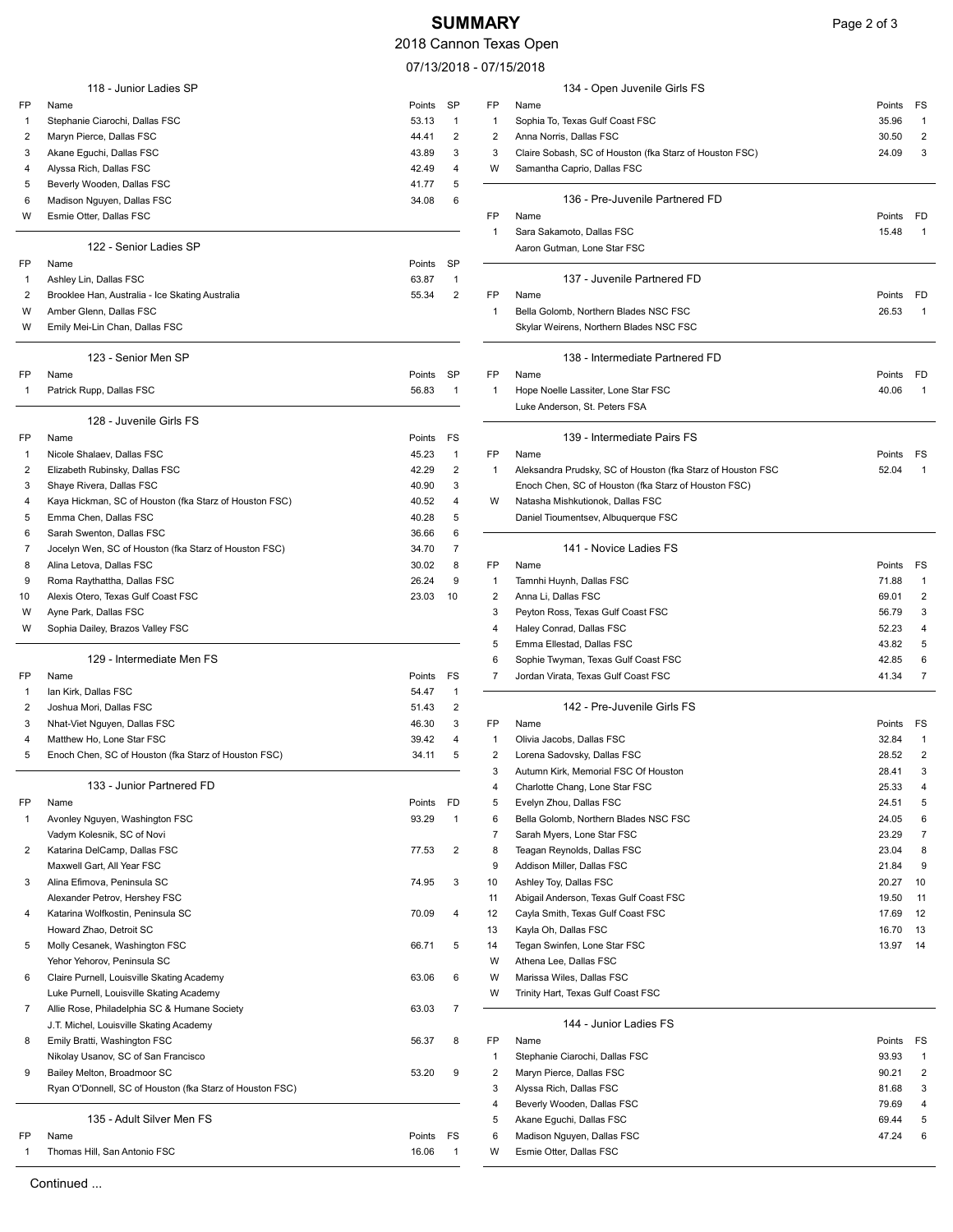## **SUMMARY** Page 2 of 3

## 2018 Cannon Texas Open

 $07/13/2018 - 07/2$ 

|                | 118 - Junior Ladies SP                                   |           |                         |                | 134 - Open Juvenile Girls FS                                |        |                         |
|----------------|----------------------------------------------------------|-----------|-------------------------|----------------|-------------------------------------------------------------|--------|-------------------------|
| FP             | Name                                                     | Points    | SP                      | FP             | Name                                                        | Points | FS                      |
| -1             | Stephanie Ciarochi, Dallas FSC                           | 53.13     | $\mathbf{1}$            | 1              | Sophia To, Texas Gulf Coast FSC                             | 35.96  | 1                       |
| $\overline{2}$ | Maryn Pierce, Dallas FSC                                 | 44.41     | $\overline{2}$          | $\overline{2}$ | Anna Norris, Dallas FSC                                     | 30.50  |                         |
| 3              | Akane Eguchi, Dallas FSC                                 | 43.89     | 3                       | 3              | Claire Sobash, SC of Houston (fka Starz of Houston FSC)     | 24.09  | 3                       |
| 4              | Alyssa Rich, Dallas FSC                                  | 42.49     | 4                       | W              | Samantha Caprio, Dallas FSC                                 |        |                         |
| 5              | Beverly Wooden, Dallas FSC                               | 41.77     | 5                       |                |                                                             |        |                         |
| 6              | Madison Nguyen, Dallas FSC                               | 34.08     | 6                       |                | 136 - Pre-Juvenile Partnered FD                             |        |                         |
| W              | Esmie Otter, Dallas FSC                                  |           |                         | FP             | Name                                                        | Points | FD                      |
|                |                                                          |           |                         | 1              | Sara Sakamoto, Dallas FSC                                   | 15.48  |                         |
|                | 122 - Senior Ladies SP                                   |           |                         |                | Aaron Gutman, Lone Star FSC                                 |        |                         |
| FP             | Name                                                     | Points    | SP                      |                |                                                             |        |                         |
| -1             | Ashley Lin, Dallas FSC                                   | 63.87     | $\mathbf{1}$            |                | 137 - Juvenile Partnered FD                                 |        |                         |
| 2              | Brooklee Han, Australia - Ice Skating Australia          | 55.34     | $\overline{2}$          | FP             | Name                                                        | Points | FD                      |
| W              | Amber Glenn, Dallas FSC                                  |           |                         | 1              | Bella Golomb, Northern Blades NSC FSC                       | 26.53  |                         |
| W              | Emily Mei-Lin Chan, Dallas FSC                           |           |                         |                | Skylar Weirens, Northern Blades NSC FSC                     |        |                         |
|                | 123 - Senior Men SP                                      |           |                         |                | 138 - Intermediate Partnered FD                             |        |                         |
| FP             | Name                                                     | Points    | <b>SP</b>               | FP             | Name                                                        | Points | FD                      |
| -1             | Patrick Rupp, Dallas FSC                                 | 56.83     | $\mathbf{1}$            | -1             | Hope Noelle Lassiter, Lone Star FSC                         | 40.06  |                         |
|                |                                                          |           |                         |                | Luke Anderson, St. Peters FSA                               |        |                         |
|                | 128 - Juvenile Girls FS                                  |           |                         |                |                                                             |        |                         |
| FP             | Name                                                     | Points    | FS                      |                | 139 - Intermediate Pairs FS                                 |        |                         |
| -1             | Nicole Shalaev, Dallas FSC                               | 45.23     | $\mathbf{1}$            | FP             | Name                                                        | Points | FS                      |
| 2              | Elizabeth Rubinsky, Dallas FSC                           | 42.29     | 2                       | 1              | Aleksandra Prudsky, SC of Houston (fka Starz of Houston FSC | 52.04  |                         |
| 3              | Shaye Rivera, Dallas FSC                                 | 40.90     | 3                       |                | Enoch Chen, SC of Houston (fka Starz of Houston FSC)        |        |                         |
| 4              | Kaya Hickman, SC of Houston (fka Starz of Houston FSC)   | 40.52     | 4                       | W              | Natasha Mishkutionok, Dallas FSC                            |        |                         |
| 5              | Emma Chen, Dallas FSC                                    | 40.28     | 5                       |                | Daniel Tioumentsev, Albuquerque FSC                         |        |                         |
| 6              | Sarah Swenton, Dallas FSC                                | 36.66     | 6                       |                |                                                             |        |                         |
| 7              | Jocelyn Wen, SC of Houston (fka Starz of Houston FSC)    | 34.70     | 7                       |                | 141 - Novice Ladies FS                                      |        |                         |
| 8              | Alina Letova, Dallas FSC                                 | 30.02     | 8                       | FP             | Name                                                        | Points | FS                      |
| 9              | Roma Raythattha, Dallas FSC                              | 26.24     | 9                       | 1              | Tamnhi Huynh, Dallas FSC                                    | 71.88  | -1                      |
| 10             | Alexis Otero, Texas Gulf Coast FSC                       | 23.03     | 10                      | 2              | Anna Li, Dallas FSC                                         | 69.01  | $\overline{2}$          |
| W              | Ayne Park, Dallas FSC                                    |           |                         | 3              | Peyton Ross, Texas Gulf Coast FSC                           | 56.79  |                         |
| W              | Sophia Dailey, Brazos Valley FSC                         |           |                         | 4              | Haley Conrad, Dallas FSC                                    | 52.23  |                         |
|                |                                                          |           |                         | 5              | Emma Ellestad, Dallas FSC                                   | 43.82  | 5                       |
|                | 129 - Intermediate Men FS                                |           |                         | 6              | Sophie Twyman, Texas Gulf Coast FSC                         | 42.85  | 6                       |
| FP             | Name                                                     | Points    | FS                      | 7              | Jordan Virata, Texas Gulf Coast FSC                         | 41.34  |                         |
| 1              | Ian Kirk, Dallas FSC                                     | 54.47     | $\mathbf{1}$            |                |                                                             |        |                         |
| 2              | Joshua Mori, Dallas FSC                                  | 51.43     | $\overline{\mathbf{c}}$ |                | 142 - Pre-Juvenile Girls FS                                 |        |                         |
| 3              | Nhat-Viet Nguyen, Dallas FSC                             | 46.30     | 3                       | FP             | Name                                                        | Points | FS                      |
| 4              | Matthew Ho, Lone Star FSC                                | 39.42     | 4                       | 1              | Olivia Jacobs, Dallas FSC                                   | 32.84  |                         |
| 5              | Enoch Chen, SC of Houston (fka Starz of Houston FSC)     | 34.11     | 5                       | $\overline{2}$ | Lorena Sadovsky, Dallas FSC                                 | 28.52  | $\overline{2}$          |
|                |                                                          |           |                         | 3              | Autumn Kirk, Memorial FSC Of Houston                        | 28.41  | 3                       |
|                | 133 - Junior Partnered FD                                |           |                         | 4              | Charlotte Chang, Lone Star FSC                              | 25.33  |                         |
| FP             | Name                                                     | Points    | FD                      | 5              | Evelyn Zhou, Dallas FSC                                     | 24.51  | 5                       |
| 1              | Avonley Nguyen, Washington FSC                           | 93.29     | $\mathbf{1}$            | 6              | Bella Golomb, Northern Blades NSC FSC                       | 24.05  | 6                       |
|                | Vadym Kolesnik, SC of Novi                               |           |                         | $\overline{7}$ | Sarah Myers, Lone Star FSC                                  | 23.29  | 7                       |
| 2              | Katarina DelCamp, Dallas FSC                             | 77.53     | $\overline{2}$          | 8              | Teagan Reynolds, Dallas FSC                                 | 23.04  | 8                       |
|                | Maxwell Gart, All Year FSC                               |           |                         | 9              | Addison Miller, Dallas FSC                                  | 21.84  | 9                       |
| 3              | Alina Efimova, Peninsula SC                              | 74.95     | 3                       | 10             | Ashley Toy, Dallas FSC                                      | 20.27  | 10                      |
|                | Alexander Petrov, Hershey FSC                            |           |                         | 11             | Abigail Anderson, Texas Gulf Coast FSC                      | 19.50  | 11                      |
| 4              | Katarina Wolfkostin, Peninsula SC                        | 70.09     | 4                       | 12             | Cayla Smith, Texas Gulf Coast FSC                           | 17.69  | 12                      |
|                | Howard Zhao, Detroit SC                                  |           |                         | 13             | Kayla Oh, Dallas FSC                                        | 16.70  | 13                      |
| 5              | Molly Cesanek, Washington FSC                            | 66.71     | 5                       | 14             | Tegan Swinfen, Lone Star FSC                                | 13.97  | 14                      |
|                | Yehor Yehorov, Peninsula SC                              |           |                         | W              | Athena Lee, Dallas FSC                                      |        |                         |
| 6              | Claire Purnell, Louisville Skating Academy               | 63.06     | 6                       | W              | Marissa Wiles, Dallas FSC                                   |        |                         |
|                | Luke Purnell, Louisville Skating Academy                 |           |                         | W              | Trinity Hart, Texas Gulf Coast FSC                          |        |                         |
| 7              | Allie Rose, Philadelphia SC & Humane Society             | 63.03     | $\overline{7}$          |                |                                                             |        |                         |
|                | J.T. Michel, Louisville Skating Academy                  |           |                         |                | 144 - Junior Ladies FS                                      |        |                         |
| 8              | Emily Bratti, Washington FSC                             | 56.37     | 8                       | FP             | Name                                                        | Points | FS                      |
|                | Nikolay Usanov, SC of San Francisco                      |           |                         | $\mathbf{1}$   | Stephanie Ciarochi, Dallas FSC                              | 93.93  | -1                      |
| 9              | Bailey Melton, Broadmoor SC                              | 53.20     | 9                       | $\overline{2}$ | Maryn Pierce, Dallas FSC                                    | 90.21  | $\overline{\mathbf{c}}$ |
|                | Ryan O'Donnell, SC of Houston (fka Starz of Houston FSC) |           |                         | 3              | Alyssa Rich, Dallas FSC                                     | 81.68  | 3                       |
|                |                                                          |           |                         | 4              | Beverly Wooden, Dallas FSC                                  | 79.69  |                         |
|                | 135 - Adult Silver Men FS                                |           |                         | 5              | Akane Eguchi, Dallas FSC                                    | 69.44  | 5                       |
| FP             | Name                                                     | Points FS |                         | 6              | Madison Nguyen, Dallas FSC                                  | 47.24  | 6                       |
| 1              | Thomas Hill, San Antonio FSC                             | 16.06     | $\mathbf{1}$            | W              | Esmie Otter, Dallas FSC                                     |        |                         |
|                |                                                          |           |                         |                |                                                             |        |                         |

|                | елаэ Орен                                                              |                |              |
|----------------|------------------------------------------------------------------------|----------------|--------------|
|                | 7/15/2018                                                              |                |              |
|                | 134 - Open Juvenile Girls FS                                           |                |              |
| ΞP             | Name                                                                   | Points         | FS           |
| 1              | Sophia To, Texas Gulf Coast FSC                                        | 35.96          | 1            |
| 2              | Anna Norris, Dallas FSC                                                | 30.50          | 2            |
| 3              | Claire Sobash, SC of Houston (fka Starz of Houston FSC)                | 24.09          | 3            |
| W              | Samantha Caprio, Dallas FSC                                            |                |              |
|                |                                                                        |                |              |
|                | 136 - Pre-Juvenile Partnered FD                                        |                |              |
| ΞP             | Name                                                                   | Points         | FD           |
| 1              | Sara Sakamoto, Dallas FSC                                              | 15.48          | 1            |
|                | Aaron Gutman, Lone Star FSC                                            |                |              |
|                | 137 - Juvenile Partnered FD                                            |                |              |
| ΞP             | Name                                                                   | Points         | FD.          |
| 1              | Bella Golomb, Northern Blades NSC FSC                                  | 26.53          | 1            |
|                | Skylar Weirens, Northern Blades NSC FSC                                |                |              |
|                |                                                                        |                |              |
|                | 138 - Intermediate Partnered FD                                        |                |              |
| ΞP             | Name                                                                   | Points         | FD           |
| 1              | Hope Noelle Lassiter, Lone Star FSC                                    | 40.06          | 1            |
|                | Luke Anderson, St. Peters FSA                                          |                |              |
|                |                                                                        |                |              |
|                | 139 - Intermediate Pairs FS                                            |                |              |
| ΞP             | Name                                                                   | Points         | FS           |
| 1              | Aleksandra Prudsky, SC of Houston (fka Starz of Houston FSC            | 52.04          | $\mathbf{1}$ |
|                | Enoch Chen, SC of Houston (fka Starz of Houston FSC)                   |                |              |
| W              | Natasha Mishkutionok, Dallas FSC                                       |                |              |
|                | Daniel Tioumentsev, Albuquerque FSC                                    |                |              |
|                | 141 - Novice Ladies FS                                                 |                |              |
| ΞP             | Name                                                                   | Points         | FS           |
| 1              | Tamnhi Huynh, Dallas FSC                                               | 71.88          | 1            |
| 2              | Anna Li, Dallas FSC                                                    | 69.01          | 2            |
| 3              | Peyton Ross, Texas Gulf Coast FSC                                      | 56.79          | 3            |
| 4              | Haley Conrad, Dallas FSC                                               | 52.23          | 4            |
| 5              | Emma Ellestad, Dallas FSC                                              | 43.82          | 5            |
| 6              | Sophie Twyman, Texas Gulf Coast FSC                                    | 42.85          | 6            |
| 7              | Jordan Virata, Texas Gulf Coast FSC                                    | 41.34          | 7            |
|                |                                                                        |                |              |
|                | 142 - Pre-Juvenile Girls FS                                            |                |              |
| ΞP             | Name                                                                   | Points         | FS           |
| 1              | Olivia Jacobs, Dallas FSC                                              | 32.84          | 1            |
| 2              | Lorena Sadovsky, Dallas FSC                                            | 28.52          | 2            |
| 3<br>4         | Autumn Kirk, Memorial FSC Of Houston<br>Charlotte Chang, Lone Star FSC | 28.41          | 3<br>4       |
| 5              | Evelyn Zhou, Dallas FSC                                                | 25.33<br>24.51 | 5            |
| 6              | Bella Golomb, Northern Blades NSC FSC                                  | 24.05          | 6            |
| 7              | Sarah Myers, Lone Star FSC                                             | 23.29          | 7            |
| 8              | Teagan Reynolds, Dallas FSC                                            | 23.04          | 8            |
| 9              | Addison Miller, Dallas FSC                                             | 21.84          | 9            |
| 0              | Ashley Toy, Dallas FSC                                                 | 20.27          | 10           |
| 11             | Abigail Anderson, Texas Gulf Coast FSC                                 | 19.50          | 11           |
| $\overline{2}$ | Cayla Smith, Texas Gulf Coast FSC                                      | 17.69          | 12           |
| 3              | Kayla Oh, Dallas FSC                                                   | 16.70          | 13           |
| 14             | Tegan Swinfen, Lone Star FSC                                           | 13.97          | 14           |
| W              | Athena Lee, Dallas FSC                                                 |                |              |
| W              | Marissa Wiles, Dallas FSC                                              |                |              |
| W              | Trinity Hart, Texas Gulf Coast FSC                                     |                |              |
|                |                                                                        |                |              |
|                | 144 - Junior Ladies FS                                                 |                |              |
| ΞP             | Name                                                                   | Points         | FS           |
| 1              | Stephanie Ciarochi, Dallas FSC                                         | 93.93          | 1            |
| 2              | Maryn Pierce, Dallas FSC                                               | 90.21          | 2            |
| 3              | Alyssa Rich, Dallas FSC                                                | 81.68          | 3            |
| 4              | Beverly Wooden, Dallas FSC                                             | 79.69          | 4            |